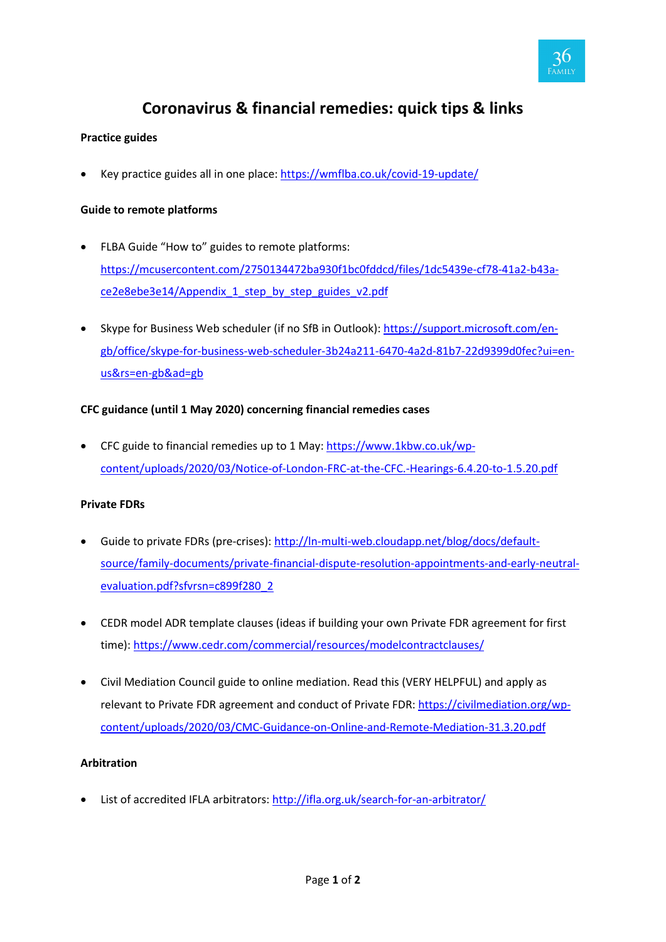

# **Coronavirus & financial remedies: quick tips & links**

# **Practice guides**

Key practice guides all in one place:<https://wmflba.co.uk/covid-19-update/>

## **Guide to remote platforms**

- FLBA Guide "How to" guides to remote platforms: [https://mcusercontent.com/2750134472ba930f1bc0fddcd/files/1dc5439e-cf78-41a2-b43a](https://mcusercontent.com/2750134472ba930f1bc0fddcd/files/1dc5439e-cf78-41a2-b43a-ce2e8ebe3e14/Appendix_1_step_by_step_guides_v2.pdf)[ce2e8ebe3e14/Appendix\\_1\\_step\\_by\\_step\\_guides\\_v2.pdf](https://mcusercontent.com/2750134472ba930f1bc0fddcd/files/1dc5439e-cf78-41a2-b43a-ce2e8ebe3e14/Appendix_1_step_by_step_guides_v2.pdf)
- Skype for Business Web scheduler (if no SfB in Outlook): [https://support.microsoft.com/en](https://support.microsoft.com/en-gb/office/skype-for-business-web-scheduler-3b24a211-6470-4a2d-81b7-22d9399d0fec?ui=en-us&rs=en-gb&ad=gb)[gb/office/skype-for-business-web-scheduler-3b24a211-6470-4a2d-81b7-22d9399d0fec?ui=en](https://support.microsoft.com/en-gb/office/skype-for-business-web-scheduler-3b24a211-6470-4a2d-81b7-22d9399d0fec?ui=en-us&rs=en-gb&ad=gb)[us&rs=en-gb&ad=gb](https://support.microsoft.com/en-gb/office/skype-for-business-web-scheduler-3b24a211-6470-4a2d-81b7-22d9399d0fec?ui=en-us&rs=en-gb&ad=gb)

## **CFC guidance (until 1 May 2020) concerning financial remedies cases**

• CFC guide to financial remedies up to 1 May: [https://www.1kbw.co.uk/wp](https://www.1kbw.co.uk/wp-content/uploads/2020/03/Notice-of-London-FRC-at-the-CFC.-Hearings-6.4.20-to-1.5.20.pdf)[content/uploads/2020/03/Notice-of-London-FRC-at-the-CFC.-Hearings-6.4.20-to-1.5.20.pdf](https://www.1kbw.co.uk/wp-content/uploads/2020/03/Notice-of-London-FRC-at-the-CFC.-Hearings-6.4.20-to-1.5.20.pdf)

#### **Private FDRs**

- Guide to private FDRs (pre-crises): [http://ln-multi-web.cloudapp.net/blog/docs/default](http://ln-multi-web.cloudapp.net/blog/docs/default-source/family-documents/private-financial-dispute-resolution-appointments-and-early-neutral-evaluation.pdf?sfvrsn=c899f280_2)[source/family-documents/private-financial-dispute-resolution-appointments-and-early-neutral](http://ln-multi-web.cloudapp.net/blog/docs/default-source/family-documents/private-financial-dispute-resolution-appointments-and-early-neutral-evaluation.pdf?sfvrsn=c899f280_2)[evaluation.pdf?sfvrsn=c899f280\\_2](http://ln-multi-web.cloudapp.net/blog/docs/default-source/family-documents/private-financial-dispute-resolution-appointments-and-early-neutral-evaluation.pdf?sfvrsn=c899f280_2)
- CEDR model ADR template clauses (ideas if building your own Private FDR agreement for first time):<https://www.cedr.com/commercial/resources/modelcontractclauses/>
- Civil Mediation Council guide to online mediation. Read this (VERY HELPFUL) and apply as relevant to Private FDR agreement and conduct of Private FDR: [https://civilmediation.org/wp](https://civilmediation.org/wp-content/uploads/2020/03/CMC-Guidance-on-Online-and-Remote-Mediation-31.3.20.pdf)[content/uploads/2020/03/CMC-Guidance-on-Online-and-Remote-Mediation-31.3.20.pdf](https://civilmediation.org/wp-content/uploads/2020/03/CMC-Guidance-on-Online-and-Remote-Mediation-31.3.20.pdf)

#### **Arbitration**

• List of accredited IFLA arbitrators[: http://ifla.org.uk/search-for-an-arbitrator/](http://ifla.org.uk/search-for-an-arbitrator/)